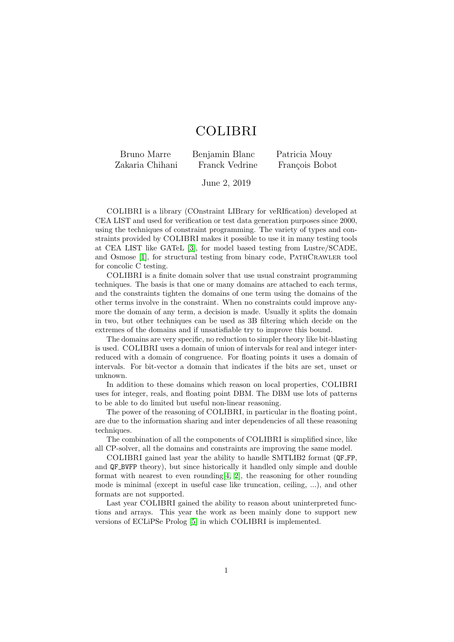## COLIBRI

Bruno Marre Benjamin Blanc Patricia Mouy Zakaria Chihani Franck Vedrine François Bobot

June 2, 2019

COLIBRI is a library (COnstraint LIBrary for veRIfication) developed at CEA LIST and used for verification or test data generation purposes since 2000, using the techniques of constraint programming. The variety of types and constraints provided by COLIBRI makes it possible to use it in many testing tools at CEA LIST like GATeL [\[3\]](#page-1-0), for model based testing from Lustre/SCADE, and Osmose [\[1\]](#page-1-1), for structural testing from binary code, PATHCRAWLER tool for concolic C testing.

COLIBRI is a finite domain solver that use usual constraint programming techniques. The basis is that one or many domains are attached to each terms, and the constraints tighten the domains of one term using the domains of the other terms involve in the constraint. When no constraints could improve anymore the domain of any term, a decision is made. Usually it splits the domain in two, but other techniques can be used as 3B filtering which decide on the extremes of the domains and if unsatisfiable try to improve this bound.

The domains are very specific, no reduction to simpler theory like bit-blasting is used. COLIBRI uses a domain of union of intervals for real and integer interreduced with a domain of congruence. For floating points it uses a domain of intervals. For bit-vector a domain that indicates if the bits are set, unset or unknown.

In addition to these domains which reason on local properties, COLIBRI uses for integer, reals, and floating point DBM. The DBM use lots of patterns to be able to do limited but useful non-linear reasoning.

The power of the reasoning of COLIBRI, in particular in the floating point, are due to the information sharing and inter dependencies of all these reasoning techniques.

The combination of all the components of COLIBRI is simplified since, like all CP-solver, all the domains and constraints are improving the same model.

COLIBRI gained last year the ability to handle SMTLIB2 format (QF FP, and QF BVFP theory), but since historically it handled only simple and double format with nearest to even rounding  $[4, 2]$  $[4, 2]$ , the reasoning for other rounding mode is minimal (except in useful case like truncation, ceiling, ...), and other formats are not supported.

Last year COLIBRI gained the ability to reason about uninterpreted functions and arrays. This year the work as been mainly done to support new versions of ECLiPSe Prolog [\[5\]](#page-1-4) in which COLIBRI is implemented.